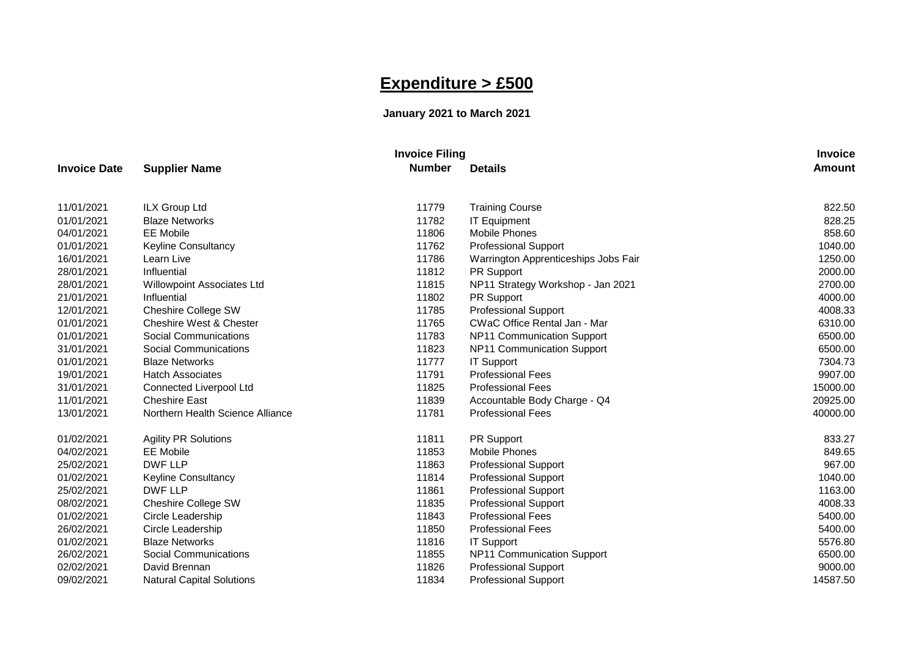## **Expenditure > £500**

## **January 2021 to March 2021**

|              |                                    | <b>Invoice Filing</b> |                                      | <b>Invoice</b> |
|--------------|------------------------------------|-----------------------|--------------------------------------|----------------|
| Invoice Date | <b>Supplier Name</b>               | <b>Number</b>         | <b>Details</b>                       | <b>Amount</b>  |
| 11/01/2021   | ILX Group Ltd                      | 11779                 | <b>Training Course</b>               | 822.50         |
| 01/01/2021   | <b>Blaze Networks</b>              | 11782                 | <b>IT Equipment</b>                  | 828.25         |
| 04/01/2021   | <b>EE</b> Mobile                   | 11806                 | <b>Mobile Phones</b>                 | 858.60         |
| 01/01/2021   | <b>Keyline Consultancy</b>         | 11762                 | <b>Professional Support</b>          | 1040.00        |
| 16/01/2021   | Learn Live                         | 11786                 | Warrington Apprenticeships Jobs Fair | 1250.00        |
| 28/01/2021   | Influential                        | 11812                 | PR Support                           | 2000.00        |
| 28/01/2021   | <b>Willowpoint Associates Ltd</b>  | 11815                 | NP11 Strategy Workshop - Jan 2021    | 2700.00        |
| 21/01/2021   | Influential                        | 11802                 | PR Support                           | 4000.00        |
| 12/01/2021   | <b>Cheshire College SW</b>         | 11785                 | <b>Professional Support</b>          | 4008.33        |
| 01/01/2021   | <b>Cheshire West &amp; Chester</b> | 11765                 | CWaC Office Rental Jan - Mar         | 6310.00        |
| 01/01/2021   | Social Communications              | 11783                 | NP11 Communication Support           | 6500.00        |
| 31/01/2021   | Social Communications              | 11823                 | NP11 Communication Support           | 6500.00        |
| 01/01/2021   | <b>Blaze Networks</b>              | 11777                 | <b>IT Support</b>                    | 7304.73        |
| 19/01/2021   | <b>Hatch Associates</b>            | 11791                 | <b>Professional Fees</b>             | 9907.00        |
| 31/01/2021   | Connected Liverpool Ltd            | 11825                 | <b>Professional Fees</b>             | 15000.00       |
| 11/01/2021   | <b>Cheshire East</b>               | 11839                 | Accountable Body Charge - Q4         | 20925.00       |
| 13/01/2021   | Northern Health Science Alliance   | 11781                 | <b>Professional Fees</b>             | 40000.00       |
| 01/02/2021   | <b>Agility PR Solutions</b>        | 11811                 | PR Support                           | 833.27         |
| 04/02/2021   | <b>EE Mobile</b>                   | 11853                 | <b>Mobile Phones</b>                 | 849.65         |
| 25/02/2021   | <b>DWF LLP</b>                     | 11863                 | <b>Professional Support</b>          | 967.00         |
| 01/02/2021   | Keyline Consultancy                | 11814                 | <b>Professional Support</b>          | 1040.00        |
| 25/02/2021   | DWF LLP                            | 11861                 | <b>Professional Support</b>          | 1163.00        |
| 08/02/2021   | Cheshire College SW                | 11835                 | <b>Professional Support</b>          | 4008.33        |
| 01/02/2021   | Circle Leadership                  | 11843                 | <b>Professional Fees</b>             | 5400.00        |
| 26/02/2021   | Circle Leadership                  | 11850                 | <b>Professional Fees</b>             | 5400.00        |
| 01/02/2021   | <b>Blaze Networks</b>              | 11816                 | <b>IT Support</b>                    | 5576.80        |
| 26/02/2021   | Social Communications              | 11855                 | NP11 Communication Support           | 6500.00        |
| 02/02/2021   | David Brennan                      | 11826                 | <b>Professional Support</b>          | 9000.00        |
| 09/02/2021   | <b>Natural Capital Solutions</b>   | 11834                 | <b>Professional Support</b>          | 14587.50       |